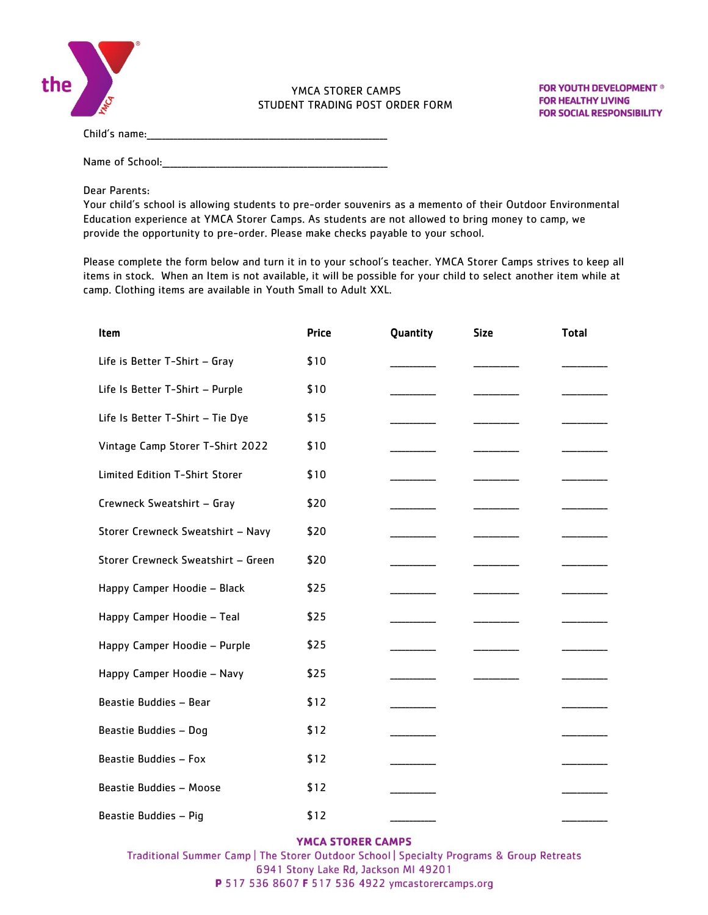

## YMCA STORER CAMPS STUDENT TRADING POST ORDER FORM

**FOR YOUTH DEVELOPMENT ® FOR HEALTHY LIVING FOR SOCIAL RESPONSIBILITY** 

Child's name:\_\_\_\_\_\_\_\_\_\_\_\_\_\_\_\_\_\_\_\_\_\_\_\_\_\_\_\_\_\_\_\_\_\_\_\_\_\_\_\_\_\_\_\_\_\_\_\_\_\_\_\_\_\_\_\_\_\_\_\_\_\_\_

Name of School:\_\_\_\_\_\_\_\_\_\_\_\_\_\_\_\_\_\_\_\_\_\_\_\_\_\_\_\_\_\_\_\_\_\_\_\_\_\_\_\_\_\_\_\_\_\_\_\_\_\_\_\_\_\_\_\_\_\_\_

Dear Parents:

Your child's school is allowing students to pre-order souvenirs as a memento of their Outdoor Environmental Education experience at YMCA Storer Camps. As students are not allowed to bring money to camp, we provide the opportunity to pre-order. Please make checks payable to your school.

Please complete the form below and turn it in to your school's teacher. YMCA Storer Camps strives to keep all items in stock. When an Item is not available, it will be possible for your child to select another item while at camp. Clothing items are available in Youth Small to Adult XXL.

| Item                               | <b>Price</b> | Quantity | <b>Size</b> | <b>Total</b> |
|------------------------------------|--------------|----------|-------------|--------------|
| Life is Better T-Shirt - Gray      | \$10         |          |             |              |
| Life Is Better T-Shirt - Purple    | \$10         |          |             |              |
| Life Is Better T-Shirt - Tie Dye   | \$15         |          |             |              |
| Vintage Camp Storer T-Shirt 2022   | \$10         |          |             |              |
| Limited Edition T-Shirt Storer     | \$10         |          |             |              |
| Crewneck Sweatshirt - Gray         | \$20         |          |             |              |
| Storer Crewneck Sweatshirt - Navy  | \$20         |          |             |              |
| Storer Crewneck Sweatshirt - Green | \$20         |          |             |              |
| Happy Camper Hoodie - Black        | \$25         |          |             |              |
| Happy Camper Hoodie - Teal         | \$25         |          |             |              |
| Happy Camper Hoodie - Purple       | \$25         |          |             |              |
| Happy Camper Hoodie - Navy         | \$25         |          |             |              |
| Beastie Buddies - Bear             | \$12         |          |             |              |
| Beastie Buddies - Dog              | \$12         |          |             |              |
| Beastie Buddies - Fox              | \$12         |          |             |              |
| Beastie Buddies - Moose            | \$12         |          |             |              |
| Beastie Buddies - Pig              | \$12         |          |             |              |

## YMCA STORER CAMPS

Traditional Summer Camp | The Storer Outdoor School | Specialty Programs & Group Retreats 6941 Stony Lake Rd, Jackson MI 49201 P 517 536 8607 F 517 536 4922 ymcastorercamps.org